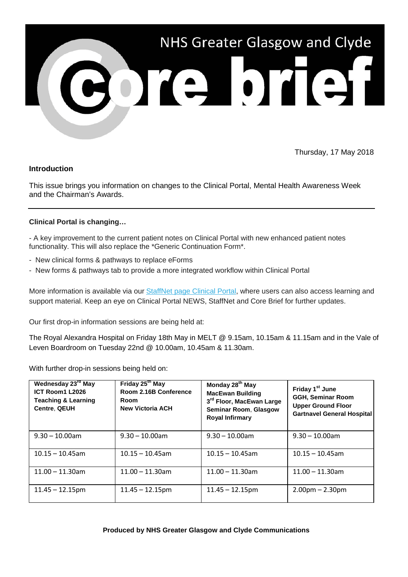

Thursday, 17 May 2018

# **Introduction**

This issue brings you information on changes to the Clinical Portal, Mental Health Awareness Week and the Chairman's Awards.

## **Clinical Portal is changing…**

- A key improvement to the current patient notes on Clinical Portal with new enhanced patient notes functionality. This will also replace the \*Generic Continuation Form\*.

- New clinical forms & pathways to replace eForms
- New forms & pathways tab to provide a more integrated workflow within Clinical Portal

More information is available via our [StaffNet page Clinical Portal,](https://nhsggc.us12.list-manage.com/track/click?u=0f385b5aea37eaf0213bd19fb&id=d7798ae1e7&e=5af5e1832c) where users can also access learning and support material. Keep an eye on Clinical Portal NEWS, StaffNet and Core Brief for further updates.

Our first drop-in information sessions are being held at:

The Royal Alexandra Hospital on Friday 18th May in MELT @ 9.15am, 10.15am & 11.15am and in the Vale of Leven Boardroom on Tuesday 22nd @ 10.00am, 10.45am & 11.30am.

With further drop-in sessions being held on:

| Wednesday 23 <sup>rd</sup> May<br>ICT Room1 L2026<br><b>Teaching &amp; Learning</b><br><b>Centre, QEUH</b> | Friday 25 <sup>th</sup> May<br>Room 2.16B Conference<br><b>Room</b><br><b>New Victoria ACH</b> | Monday 28 <sup>th</sup> May<br><b>MacEwan Building</b><br>3 <sup>rd</sup> Floor, MacEwan Large<br><b>Seminar Room, Glasgow</b><br><b>Royal Infirmary</b> | Friday 1 <sup>st</sup> June<br><b>GGH, Seminar Room</b><br><b>Upper Ground Floor</b><br><b>Gartnavel General Hospital</b> |
|------------------------------------------------------------------------------------------------------------|------------------------------------------------------------------------------------------------|----------------------------------------------------------------------------------------------------------------------------------------------------------|---------------------------------------------------------------------------------------------------------------------------|
| $9.30 - 10.00$ am                                                                                          | $9.30 - 10.00$ am                                                                              | $9.30 - 10.00$ am                                                                                                                                        | $9.30 - 10.00$ am                                                                                                         |
| $10.15 - 10.45$ am                                                                                         | $10.15 - 10.45$ am                                                                             | $10.15 - 10.45$ am                                                                                                                                       | $10.15 - 10.45$ am                                                                                                        |
| $11.00 - 11.30$ am                                                                                         | $11.00 - 11.30$ am                                                                             | $11.00 - 11.30$ am                                                                                                                                       | $11.00 - 11.30$ am                                                                                                        |
| $11.45 - 12.15$ pm                                                                                         | $11.45 - 12.15$ pm                                                                             | $11.45 - 12.15$ pm                                                                                                                                       | $2.00pm - 2.30pm$                                                                                                         |